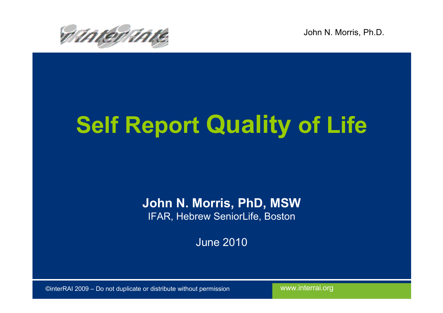

# Self Report Quality of Life

John N. Morris, PhD, MSWIFAR, Hebrew SeniorLife, Boston

June 2010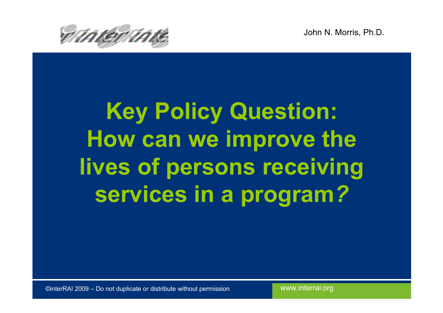



# Key Policy Question: How can we improve the lives of persons receiving services in a program?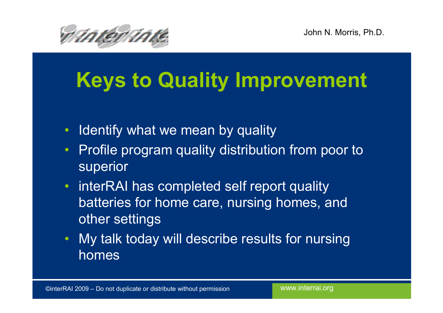

### Keys to Quality Improvement

- $\bullet$ I dentify what we mean by quality
- $\bullet$  Profile program quality distribution from poor to superior
- interRAI has completed self report quality batteries for home care, nursing homes, and other settings
- My talk today will describe results for nursing homes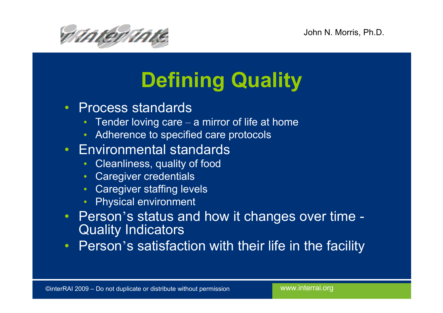

## Defining Quality

- Process standards
	- Tender loving care a mirror of life at home
	- Adherence to specified care protocols
- Environmental standards
	- $\bullet$ Cleanliness, quality of food
	- $\bullet$ **Caregiver credentials**
	- Caregiver staffing levels  $\bullet$
	- $\bullet$ Physical environment
- Person's status and how it changes over time -Quality Indicators
- Person's satisfaction with their life in the facility •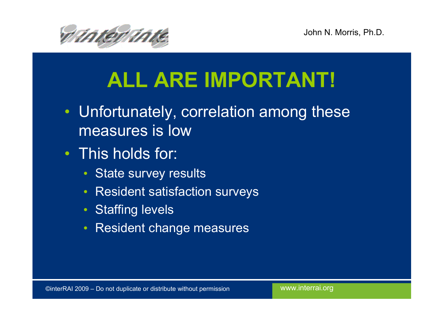



### ALL ARE IMPORTANT!

- Unfortunately, correlation among these measures is low
- This holds for:
	- State survey results
	- •Resident satisfaction surveys
	- Staffing levels
	- $\bullet$ Resident change measures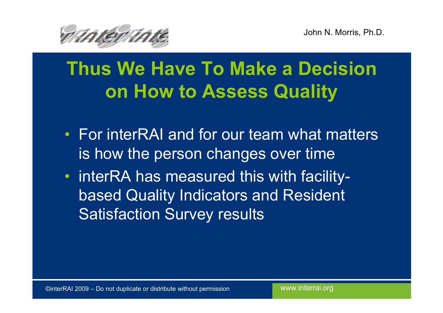

#### Thus We Have To Make a Decision on How to Assess Quality

- For interRAI and for our team what matters is how the person changes over time
- interRA has measured this with facilitybased Quality Indicators and Resident Satisfaction Survey results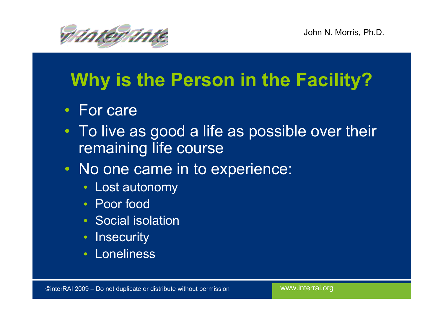



#### Why is the Person in the Facility?

- For care
- To live as good a life as possible over their remaining life course
- No one came in to experience:
	- •Lost autonomy
	- Poor food
	- Social isolation
	- $\bullet$ **Insecurity**
	- Loneliness•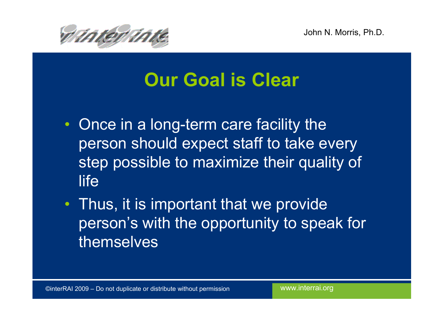

#### Our Goal is Clear

- Once in a long-term care facility the person should expect staff to take every step possible to maximize their quality of **life**
- Thus, it is important that we provide person's with the opportunity to speak for themselves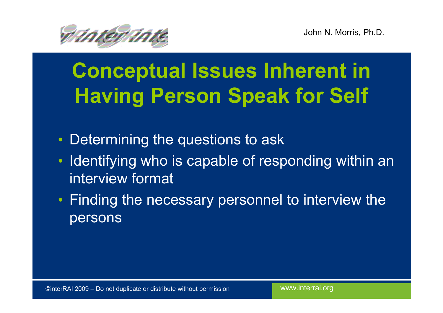

# Conceptual Issues Inherent in Having Person Speak for Self

- $\bullet$ Determining the questions to ask
- •Identifying who is capable of responding within an interview format
- Finding the necessary personnel to interview the persons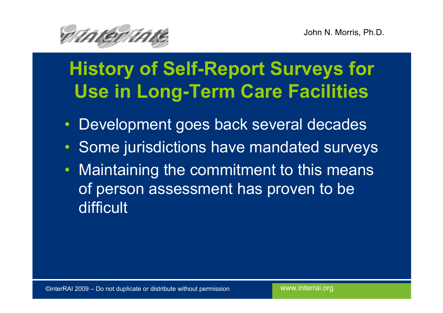

### History of Self-Report Surveys for Use in Long-Term Care Facilities

- $\bullet$ Development goes back several decades
- Some jurisdictions have mandated surveys
- •Maintaining the commitment to this means of person assessment has proven to be difficult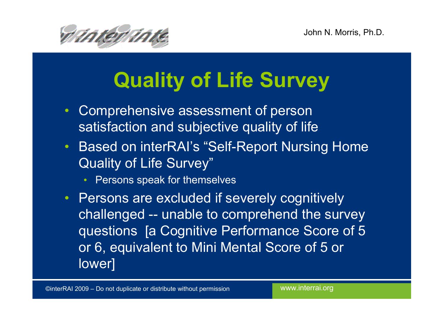

# Quality of Life Survey

- $\bullet$  Comprehensive assessment of person satisfaction and subjective quality of life
- Based on interRAI's "Self-Report Nursing Home Quality of Life Survey"
	- $\bullet$ Persons speak for themselves
- Persons are excluded if severely cognitively challenged -- unable to comprehend the survey questions [a Cognitive Performance Score of 5 or 6, equivalent to Mini Mental Score of 5 or lower]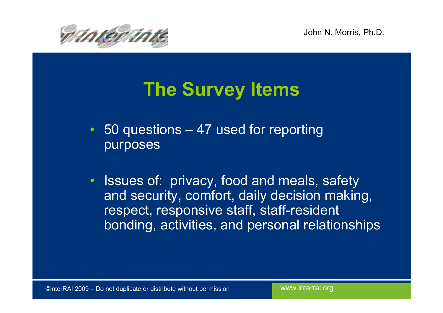

#### The Survey Items

- 50 questions 47 used for reporting purposes
- Issues of: privacy, food and meals, safety and security, comfort, daily decision making, respect, responsive staff, staff-resident bonding, activities, and personal relationships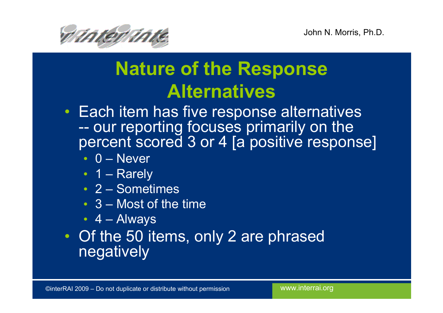

#### Nature of the Response **Alternatives**

- Each item has five response alternatives -our reporting focuses primarily on the<br>ercent scored 3 or 4 Ia nositive respons percent scored 3 or 4 [a positive response]
	- 0 Never<br>1 Revelv
	- 1 Rarely<br>2 Gareat
	- 2 Sometimes
	- $3$  Most of the time
	- 4 Always
- Of the 50 items, only 2 are phrased negatively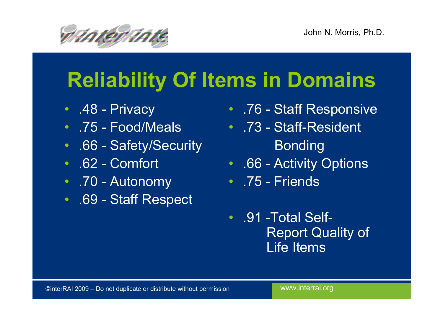

### Reliability Of Items in Domains

- .48 Privacy
- .75 Food/Meals
- .66 Safety/Security
- .62 Comfort
- .70 Autonomy
- .69 Staff Respect
- .76 Staff Responsive
- .73 Staff-Resident Bonding
- .66 Activity Options
- .75 Friends
- .91 -Total Self-Report Quality of Life Items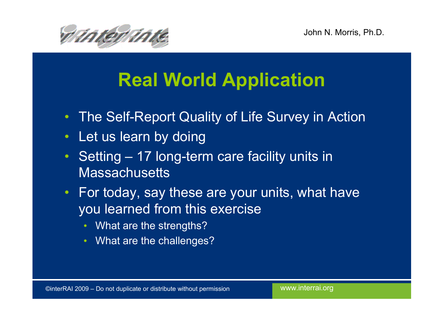

### Real World Application

- $\bullet$ The Self-Report Quality of Life Survey in Action
- $\bullet$ Let us learn by doing
- Setting 17 long-term care facility units in **Massachusetts**
- For today, say these are your units, what have you learned from this exercise
	- What are the strengths?
	- What are the challenges? •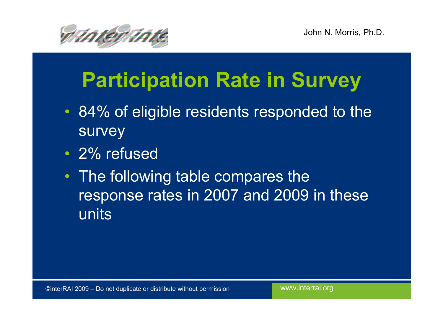



### Participation Rate in Survey

- 84% of eligible residents responded to the survey
- 2% refused
- The following table compares the response rates in 2007 and 2009 in these units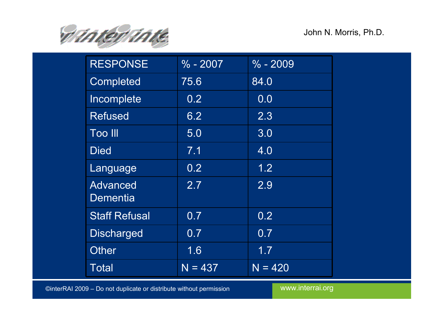

| <b>RESPONSE</b>             | $\frac{6}{6}$ - 2007 | $% -2009$ |
|-----------------------------|----------------------|-----------|
| <b>Completed</b>            | 75.6                 | 84.0      |
| Incomplete                  | 0.2                  | 0.0       |
| <b>Refused</b>              | 6.2                  | 2.3       |
| <b>Too III</b>              | 5.0                  | 3.0       |
| <b>Died</b>                 | 7.1                  | 4.0       |
| Language                    | 0.2                  | 1.2       |
| <b>Advanced</b><br>Dementia | 2.7                  | 2.9       |
| <b>Staff Refusal</b>        | 0.7                  | 0.2       |
| <b>Discharged</b>           | 0.7                  | 0.7       |
| <b>Other</b>                | 1.6                  | 1.7       |
| Total                       | $N = 437$            | $N = 420$ |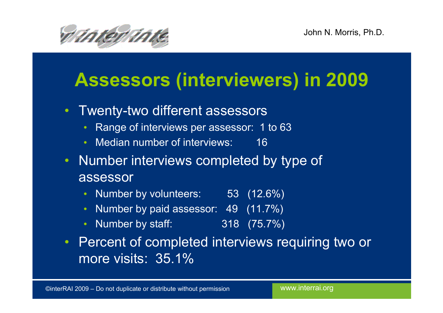

#### Assessors (interviewers) in 2009

- Twenty-two different assessors
	- Range of interviews per assessor: 1 to 63  $\bullet$
	- $\bullet$ Median number of interviews: 16
- Number interviews completed by type of assessor
	- $\bullet$ Number by volunteers: 53 (12.6%)
	- $\bullet$ Number by paid assessor: 49 (11.7%)
	- Number by staff: 318 (75.7%)
- Percent of completed interviews requiring two or more visits: 35.1%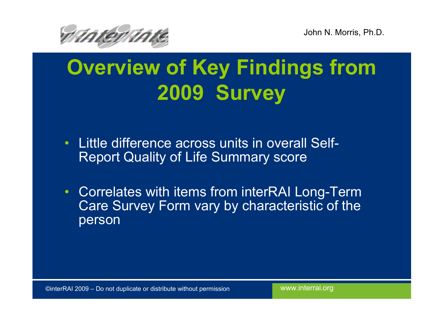



### Overview of Key Findings from 2009 Survey

- Little difference across units in overall Self-Report Quality of Life Summary score
- Correlates with items from interRAI Long-Term Care Survey Form vary by characteristic of the person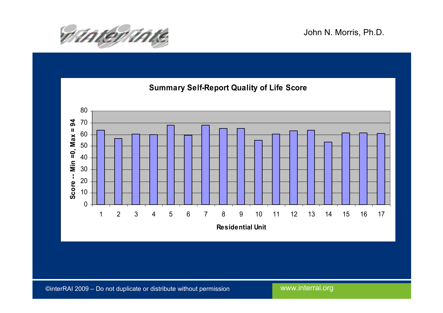

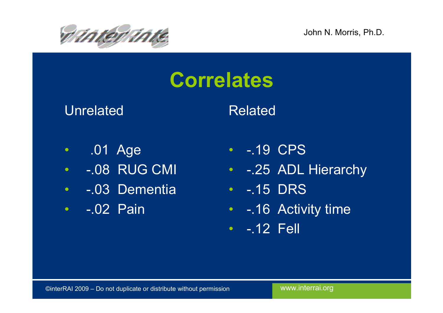

### Correlates

Unrelated

#### Related

- •.01 Age
- •-.08 RUG CMI
- -.03 Dementia
- -.02 Pain
- -.19 CPS
- -.25 ADL Hierarchy
- -.15 DRS
- -.16 Activity time
- -.12 Fell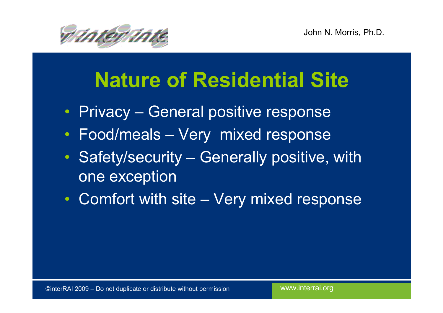

### Nature of Residential Site

- Privacy General positive response
- Food/meals Very mixed response
- Safety/security Generally positive, with one exception
- Comfort with site Very mixed response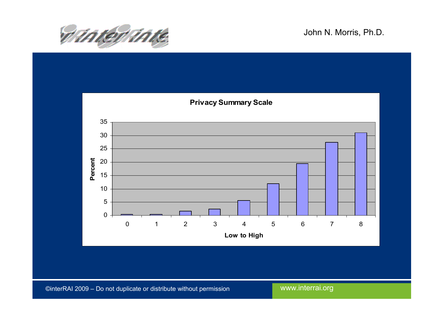

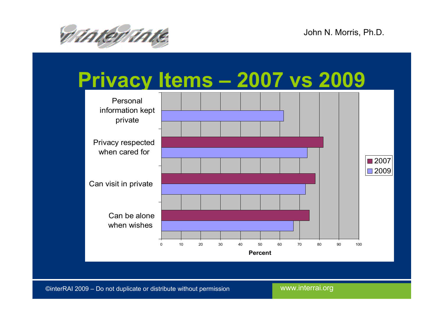

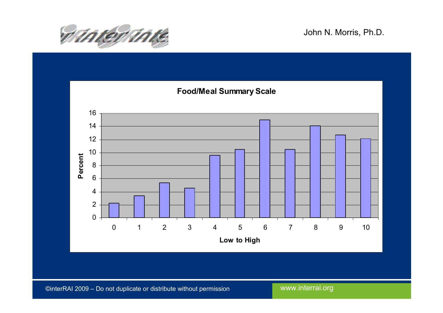

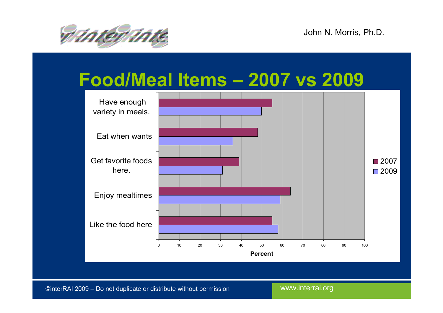

#### Food/Meal Items – 2007 vs 2009

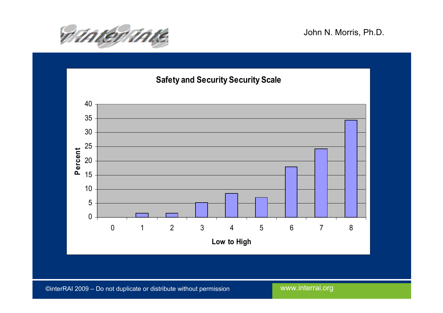

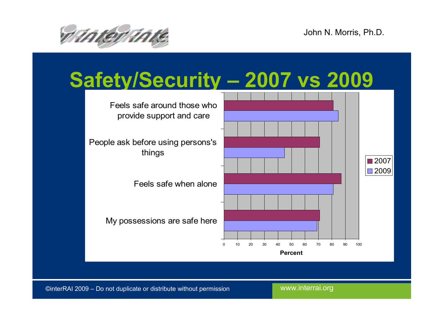

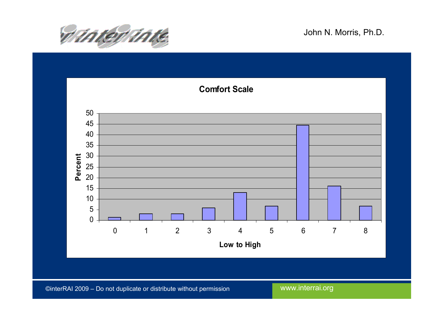

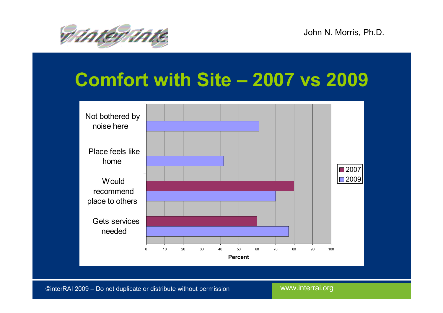

#### Comfort with Site – 2007 vs 2009

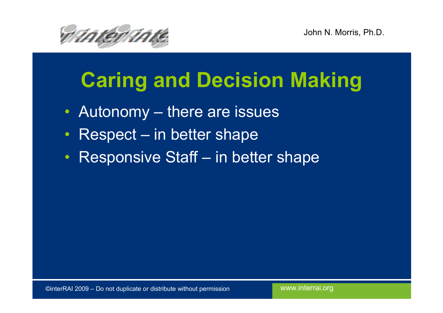

### Caring and Decision Making

- Autonomy there are issues
- $\bullet$ Respect – in better shape
- •Responsive Staff – in better shape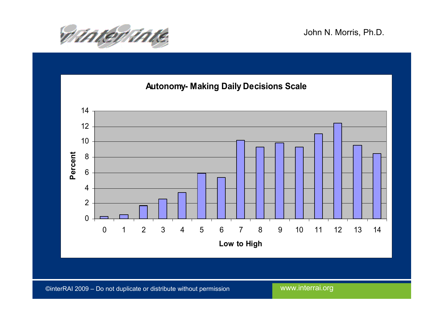

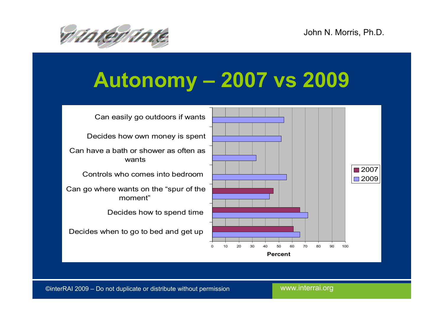

### Autonomy – 2007 vs 2009

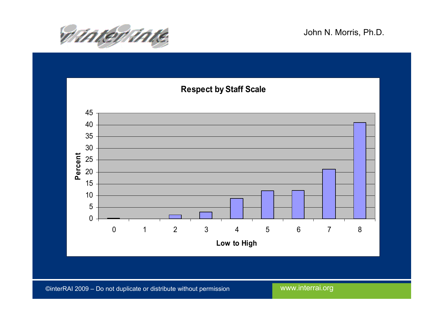

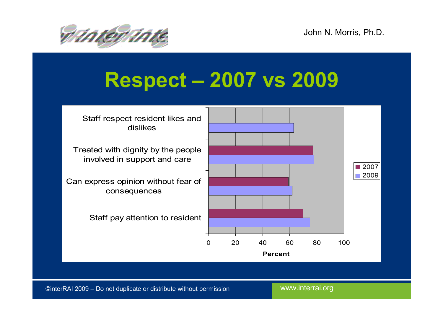

### Respect – 2007 vs 2009

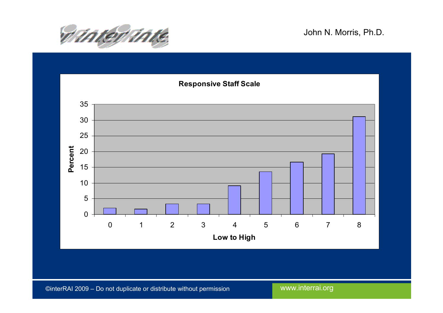

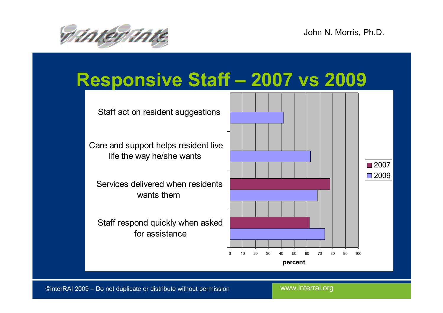

#### Responsive Staff – 2007 vs 2009

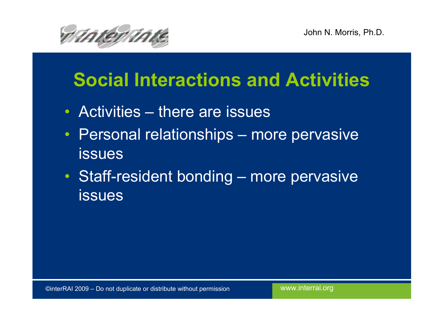

#### Social Interactions and Activities

- Activities there are issues
- Personal relationships more pervasive issues
- Staff-resident bonding more pervasive issues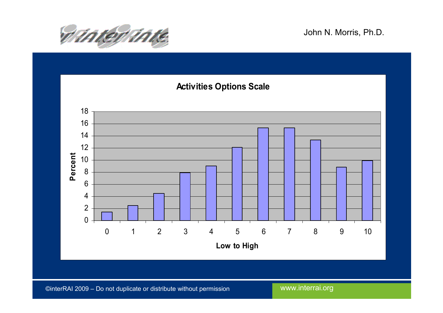

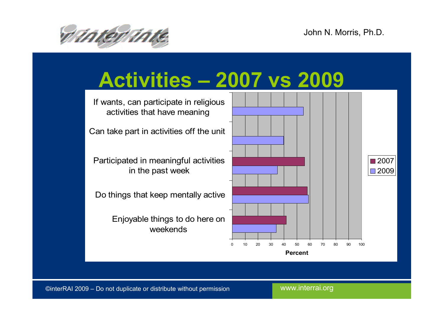

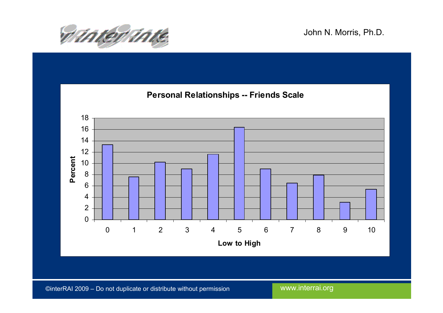

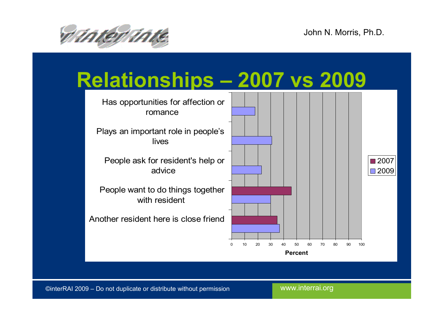

#### Relationships – 2007 vs 2009

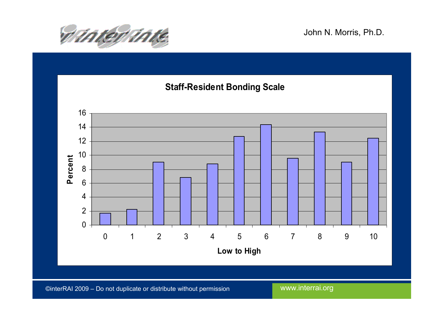

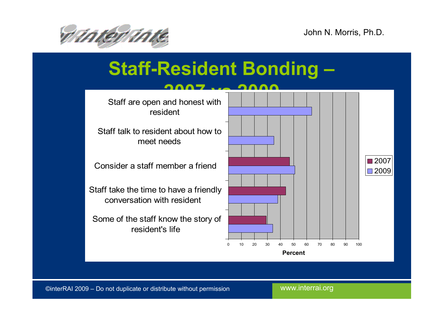



#### Staff-Resident Bonding –

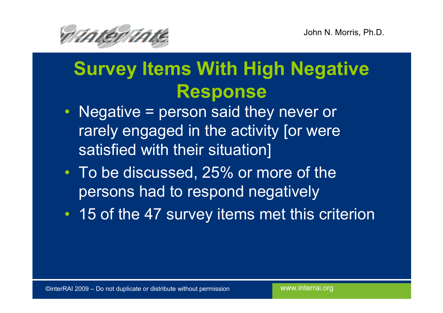

#### Survey Items With High Negative Response

- Negative = person said they never or rarely engaged in the activity [or were satisfied with their situation]
- To be discussed, 25% or more of the persons had to respond negatively
- 15 of the 47 survey items met this criterion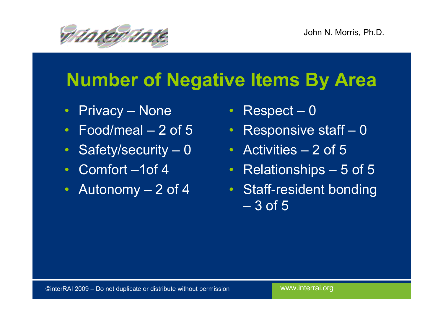

#### Number of Negative Items By Area

- Privacy None
- Food/meal 2 of 5
- Safety/security 0
- Comfort –1of 4
- $\bullet$ Autonomy – 2 of 4
- Respect 0
- Responsive staff 0
- Activities 2 of 5
- Relationships 5 of 5
- Staff-resident bonding  $\sim$ 3 of 5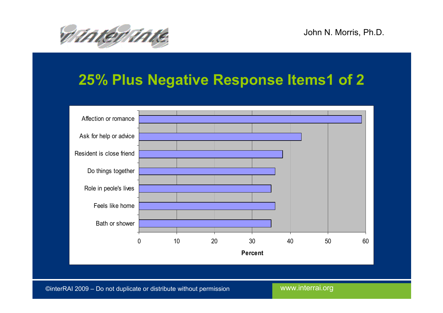

#### 25% Plus Negative Response Items1 of 2

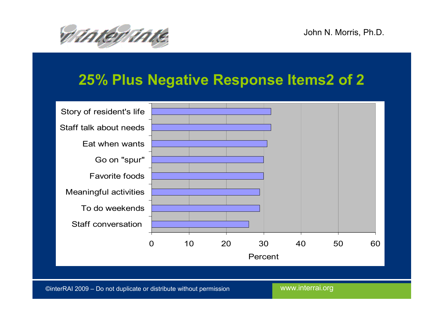

#### 25% Plus Negative Response Items2 of 2

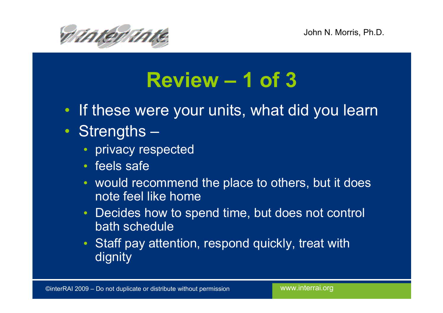

### Review – 1 of 3

- If these were your units, what did you learn
- Strengths –
	- privacy respected
	- feels safe
	- would recommend the place to others, but it does note feel like home
	- Decides how to spend time, but does not control •bath schedule
	- Staff pay attention, respond quickly, treat with dignity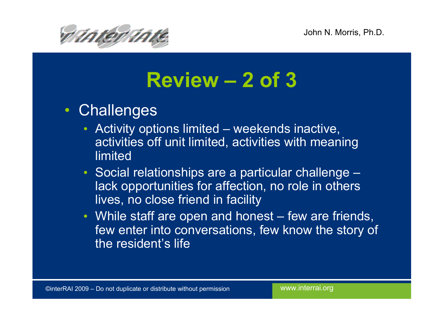

### Review – 2 of 3

- Challenges
	- Activity options limited weekends inactive,<br>activities off unit limited, activities with meani  $\bullet$ activities off unit limited, activities with meaning limited
	- Social relationships are a particular challenge – lack opportunities for affection, no role in otherslives, no close friend in facility
	- While staff are open and honest few are friends,<br>fow enter into conversations, fow know the stery of few enter into conversations, few know the story ofthe resident's life